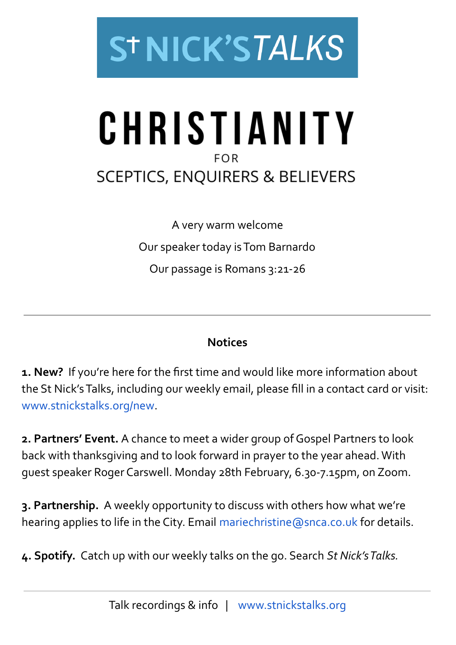

# CHRISTIANITY  $FOR$ **SCEPTICS, ENQUIRERS & BELIEVERS**

A very warm welcome Our speaker today isTom Barnardo Our passage is Romans 3:21-26

### **Notices**

**1. New?** If you're here for the first time and would like more information about the St Nick'sTalks, including our weekly email, please fill in a contact card or visit: [www.stnickstalks.org/new.](http://www.stnickstalks.org/new)

**2. Partners' Event.** A chance to meet a wider group of Gospel Partners to look back with thanksgiving and to look forward in prayer to the year ahead.With guest speaker Roger Carswell. Monday 28th February, 6.30-7.15pm, on Zoom.

**3. Partnership.** A weekly opportunity to discuss with others how what we're hearing applies to life in the City. Email mariechristine @snca.co.uk for details.

**4. Spotify.** Catch up with our weekly talks on the go. Search *St Nick'sTalks.*